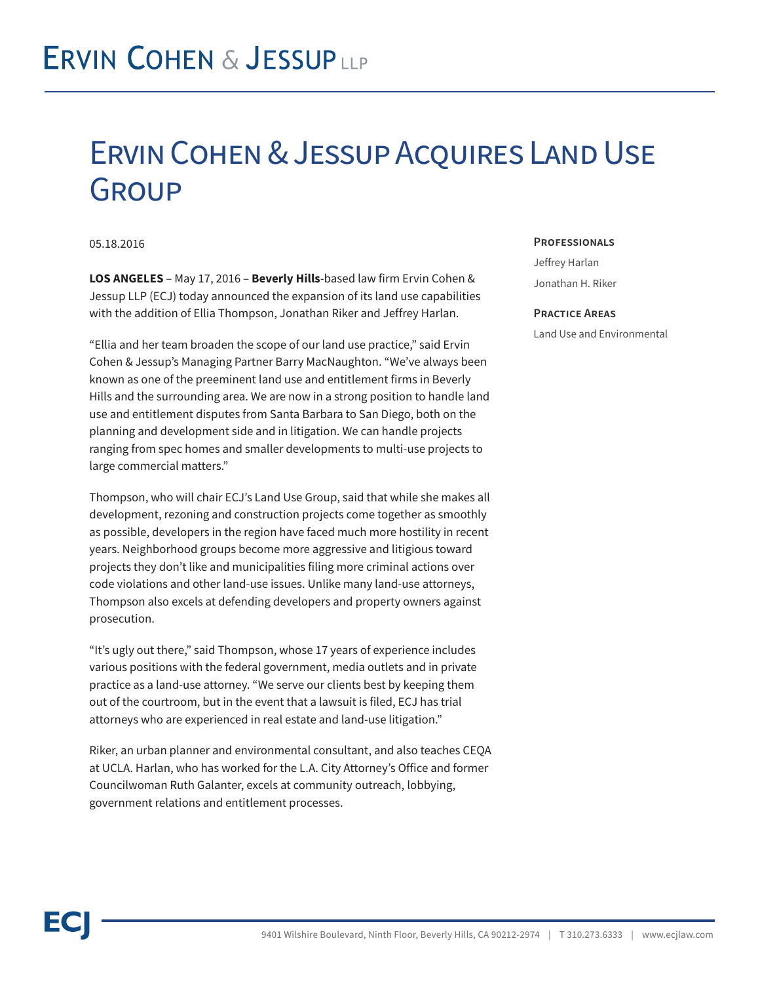## Ervin Cohen & Jessup Acquires Land Use **GROUP**

05.18.2016

**LOS ANGELES** – May 17, 2016 – **Beverly Hills**-based law firm Ervin Cohen & Jessup LLP (ECJ) today announced the expansion of its land use capabilities with the addition of Ellia Thompson, Jonathan Riker and Jeffrey Harlan.

"Ellia and her team broaden the scope of our land use practice," said Ervin Cohen & Jessup's Managing Partner Barry MacNaughton. "We've always been known as one of the preeminent land use and entitlement firms in Beverly Hills and the surrounding area. We are now in a strong position to handle land use and entitlement disputes from Santa Barbara to San Diego, both on the planning and development side and in litigation. We can handle projects ranging from spec homes and smaller developments to multi-use projects to large commercial matters."

Thompson, who will chair ECJ's Land Use Group, said that while she makes all development, rezoning and construction projects come together as smoothly as possible, developers in the region have faced much more hostility in recent years. Neighborhood groups become more aggressive and litigious toward projects they don't like and municipalities filing more criminal actions over code violations and other land-use issues. Unlike many land-use attorneys, Thompson also excels at defending developers and property owners against prosecution.

"It's ugly out there," said Thompson, whose 17 years of experience includes various positions with the federal government, media outlets and in private practice as a land-use attorney. "We serve our clients best by keeping them out of the courtroom, but in the event that a lawsuit is filed, ECJ has trial attorneys who are experienced in real estate and land-use litigation."

Riker, an urban planner and environmental consultant, and also teaches CEQA at UCLA. Harlan, who has worked for the L.A. City Attorney's Office and former Councilwoman Ruth Galanter, excels at community outreach, lobbying, government relations and entitlement processes.

#### **Professionals**

Jeffrey Harlan Jonathan H. Riker

#### **Practice Areas**

Land Use and Environmental